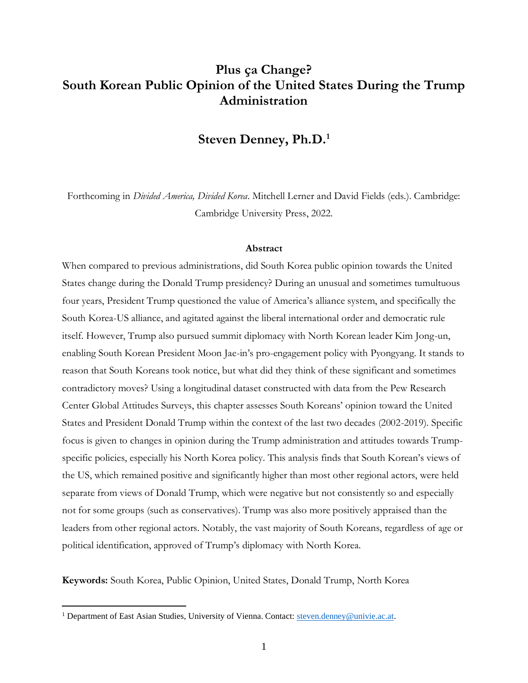# **Plus ça Change? South Korean Public Opinion of the United States During the Trump Administration**

# **Steven Denney, Ph.D. 1**

Forthcoming in *Divided America, Divided Korea*. Mitchell Lerner and David Fields (eds.). Cambridge: Cambridge University Press, 2022.

#### **Abstract**

When compared to previous administrations, did South Korea public opinion towards the United States change during the Donald Trump presidency? During an unusual and sometimes tumultuous four years, President Trump questioned the value of America's alliance system, and specifically the South Korea-US alliance, and agitated against the liberal international order and democratic rule itself. However, Trump also pursued summit diplomacy with North Korean leader Kim Jong-un, enabling South Korean President Moon Jae-in's pro-engagement policy with Pyongyang. It stands to reason that South Koreans took notice, but what did they think of these significant and sometimes contradictory moves? Using a longitudinal dataset constructed with data from the Pew Research Center Global Attitudes Surveys, this chapter assesses South Koreans' opinion toward the United States and President Donald Trump within the context of the last two decades (2002-2019). Specific focus is given to changes in opinion during the Trump administration and attitudes towards Trumpspecific policies, especially his North Korea policy. This analysis finds that South Korean's views of the US, which remained positive and significantly higher than most other regional actors, were held separate from views of Donald Trump, which were negative but not consistently so and especially not for some groups (such as conservatives). Trump was also more positively appraised than the leaders from other regional actors. Notably, the vast majority of South Koreans, regardless of age or political identification, approved of Trump's diplomacy with North Korea.

**Keywords:** South Korea, Public Opinion, United States, Donald Trump, North Korea

<sup>&</sup>lt;sup>1</sup> Department of East Asian Studies, University of Vienna. Contact: [steven.denney@univie.ac.at.](mailto:steven.denney@univie.ac.at)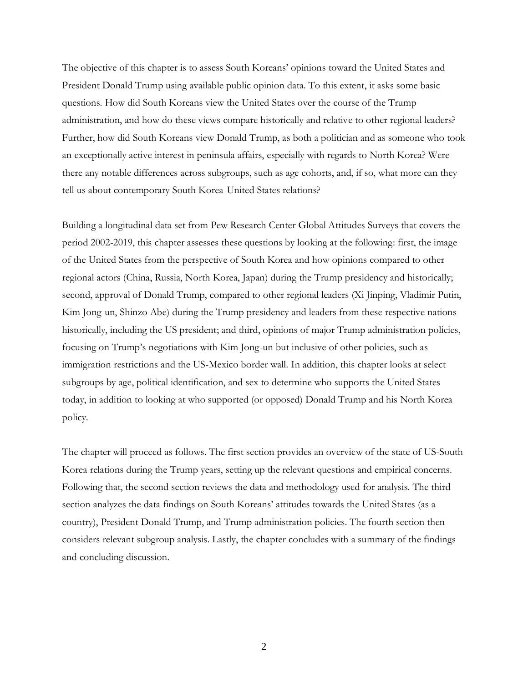The objective of this chapter is to assess South Koreans' opinions toward the United States and President Donald Trump using available public opinion data. To this extent, it asks some basic questions. How did South Koreans view the United States over the course of the Trump administration, and how do these views compare historically and relative to other regional leaders? Further, how did South Koreans view Donald Trump, as both a politician and as someone who took an exceptionally active interest in peninsula affairs, especially with regards to North Korea? Were there any notable differences across subgroups, such as age cohorts, and, if so, what more can they tell us about contemporary South Korea-United States relations?

Building a longitudinal data set from Pew Research Center Global Attitudes Surveys that covers the period 2002-2019, this chapter assesses these questions by looking at the following: first, the image of the United States from the perspective of South Korea and how opinions compared to other regional actors (China, Russia, North Korea, Japan) during the Trump presidency and historically; second, approval of Donald Trump, compared to other regional leaders (Xi Jinping, Vladimir Putin, Kim Jong-un, Shinzo Abe) during the Trump presidency and leaders from these respective nations historically, including the US president; and third, opinions of major Trump administration policies, focusing on Trump's negotiations with Kim Jong-un but inclusive of other policies, such as immigration restrictions and the US-Mexico border wall. In addition, this chapter looks at select subgroups by age, political identification, and sex to determine who supports the United States today, in addition to looking at who supported (or opposed) Donald Trump and his North Korea policy.

The chapter will proceed as follows. The first section provides an overview of the state of US-South Korea relations during the Trump years, setting up the relevant questions and empirical concerns. Following that, the second section reviews the data and methodology used for analysis. The third section analyzes the data findings on South Koreans' attitudes towards the United States (as a country), President Donald Trump, and Trump administration policies. The fourth section then considers relevant subgroup analysis. Lastly, the chapter concludes with a summary of the findings and concluding discussion.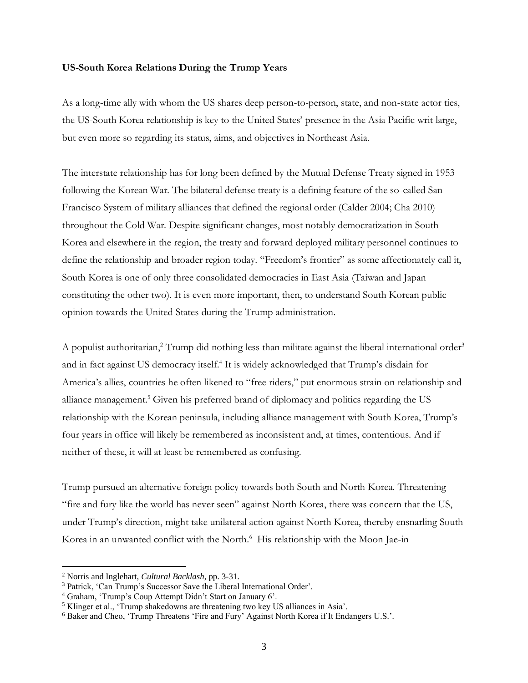#### **US-South Korea Relations During the Trump Years**

As a long-time ally with whom the US shares deep person-to-person, state, and non-state actor ties, the US-South Korea relationship is key to the United States' presence in the Asia Pacific writ large, but even more so regarding its status, aims, and objectives in Northeast Asia.

The interstate relationship has for long been defined by the Mutual Defense Treaty signed in 1953 following the Korean War. The bilateral defense treaty is a defining feature of the so-called San Francisco System of military alliances that defined the regional order (Calder 2004; Cha 2010) throughout the Cold War. Despite significant changes, most notably democratization in South Korea and elsewhere in the region, the treaty and forward deployed military personnel continues to define the relationship and broader region today. "Freedom's frontier" as some affectionately call it, South Korea is one of only three consolidated democracies in East Asia (Taiwan and Japan constituting the other two). It is even more important, then, to understand South Korean public opinion towards the United States during the Trump administration.

A populist authoritarian,<sup>2</sup> Trump did nothing less than militate against the liberal international order<sup>3</sup> and in fact against US democracy itself.<sup>4</sup> It is widely acknowledged that Trump's disdain for America's allies, countries he often likened to "free riders," put enormous strain on relationship and alliance management. <sup>5</sup> Given his preferred brand of diplomacy and politics regarding the US relationship with the Korean peninsula, including alliance management with South Korea, Trump's four years in office will likely be remembered as inconsistent and, at times, contentious. And if neither of these, it will at least be remembered as confusing.

Trump pursued an alternative foreign policy towards both South and North Korea. Threatening "fire and fury like the world has never seen" against North Korea, there was concern that the US, under Trump's direction, might take unilateral action against North Korea, thereby ensnarling South Korea in an unwanted conflict with the North.<sup>6</sup> His relationship with the Moon Jae-in

<sup>2</sup> Norris and Inglehart, *Cultural Backlash*, pp. 3-31.

<sup>&</sup>lt;sup>3</sup> Patrick, 'Can Trump's Successor Save the Liberal International Order'.

<sup>4</sup> Graham, 'Trump's Coup Attempt Didn't Start on January 6'.

<sup>5</sup> Klinger et al., 'Trump shakedowns are threatening two key US alliances in Asia'.

<sup>6</sup> Baker and Cheo, 'Trump Threatens 'Fire and Fury' Against North Korea if It Endangers U.S.'.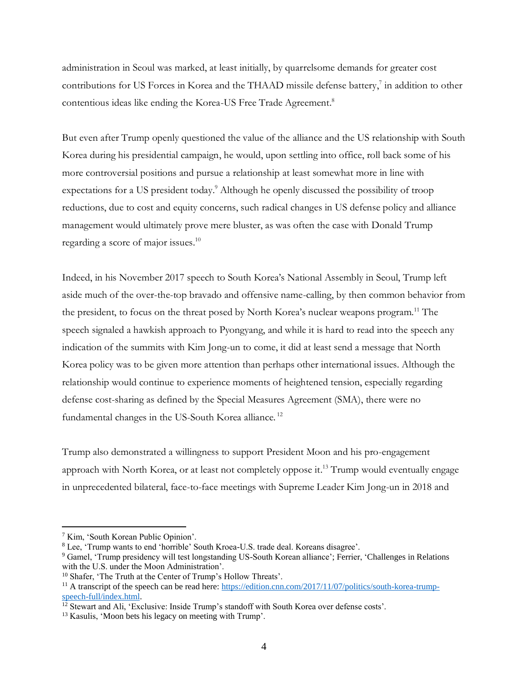administration in Seoul was marked, at least initially, by quarrelsome demands for greater cost contributions for US Forces in Korea and the THAAD missile defense battery,<sup>7</sup> in addition to other contentious ideas like ending the Korea-US Free Trade Agreement. 8

But even after Trump openly questioned the value of the alliance and the US relationship with South Korea during his presidential campaign, he would, upon settling into office, roll back some of his more controversial positions and pursue a relationship at least somewhat more in line with expectations for a US president today. <sup>9</sup> Although he openly discussed the possibility of troop reductions, due to cost and equity concerns, such radical changes in US defense policy and alliance management would ultimately prove mere bluster, as was often the case with Donald Trump regarding a score of major issues. 10

Indeed, in his November 2017 speech to South Korea's National Assembly in Seoul, Trump left aside much of the over-the-top bravado and offensive name-calling, by then common behavior from the president, to focus on the threat posed by North Korea's nuclear weapons program.<sup>11</sup> The speech signaled a hawkish approach to Pyongyang, and while it is hard to read into the speech any indication of the summits with Kim Jong-un to come, it did at least send a message that North Korea policy was to be given more attention than perhaps other international issues. Although the relationship would continue to experience moments of heightened tension, especially regarding defense cost-sharing as defined by the Special Measures Agreement (SMA), there were no fundamental changes in the US-South Korea alliance.<sup>12</sup>

Trump also demonstrated a willingness to support President Moon and his pro-engagement approach with North Korea, or at least not completely oppose it.<sup>13</sup> Trump would eventually engage in unprecedented bilateral, face-to-face meetings with Supreme Leader Kim Jong-un in 2018 and

<sup>7</sup> Kim, 'South Korean Public Opinion'.

<sup>8</sup> Lee, 'Trump wants to end 'horrible' South Kroea-U.S. trade deal. Koreans disagree'.

<sup>9</sup> Gamel, 'Trump presidency will test longstanding US-South Korean alliance'; Ferrier, 'Challenges in Relations with the U.S. under the Moon Administration'.

<sup>&</sup>lt;sup>10</sup> Shafer, 'The Truth at the Center of Trump's Hollow Threats'.

<sup>&</sup>lt;sup>11</sup> A transcript of the speech can be read here[: https://edition.cnn.com/2017/11/07/politics/south-korea-trump](https://edition.cnn.com/2017/11/07/politics/south-korea-trump-speech-full/index.html)[speech-full/index.html.](https://edition.cnn.com/2017/11/07/politics/south-korea-trump-speech-full/index.html)

<sup>&</sup>lt;sup>12</sup> Stewart and Ali, 'Exclusive: Inside Trump's standoff with South Korea over defense costs'.

<sup>&</sup>lt;sup>13</sup> Kasulis, 'Moon bets his legacy on meeting with Trump'.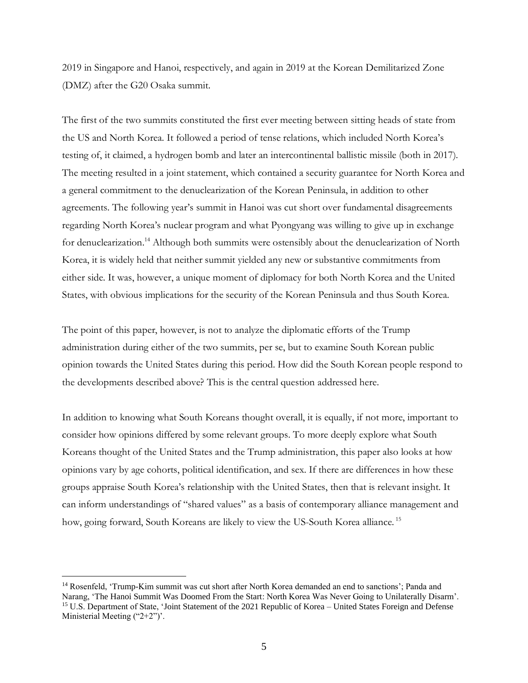2019 in Singapore and Hanoi, respectively, and again in 2019 at the Korean Demilitarized Zone (DMZ) after the G20 Osaka summit.

The first of the two summits constituted the first ever meeting between sitting heads of state from the US and North Korea. It followed a period of tense relations, which included North Korea's testing of, it claimed, a hydrogen bomb and later an intercontinental ballistic missile (both in 2017). The meeting resulted in a joint statement, which contained a security guarantee for North Korea and a general commitment to the denuclearization of the Korean Peninsula, in addition to other agreements. The following year's summit in Hanoi was cut short over fundamental disagreements regarding North Korea's nuclear program and what Pyongyang was willing to give up in exchange for denuclearization.<sup>14</sup> Although both summits were ostensibly about the denuclearization of North Korea, it is widely held that neither summit yielded any new or substantive commitments from either side. It was, however, a unique moment of diplomacy for both North Korea and the United States, with obvious implications for the security of the Korean Peninsula and thus South Korea.

The point of this paper, however, is not to analyze the diplomatic efforts of the Trump administration during either of the two summits, per se, but to examine South Korean public opinion towards the United States during this period. How did the South Korean people respond to the developments described above? This is the central question addressed here.

In addition to knowing what South Koreans thought overall, it is equally, if not more, important to consider how opinions differed by some relevant groups. To more deeply explore what South Koreans thought of the United States and the Trump administration, this paper also looks at how opinions vary by age cohorts, political identification, and sex. If there are differences in how these groups appraise South Korea's relationship with the United States, then that is relevant insight. It can inform understandings of "shared values" as a basis of contemporary alliance management and how, going forward, South Koreans are likely to view the US-South Korea alliance.<sup>15</sup>

<sup>&</sup>lt;sup>14</sup> Rosenfeld, 'Trump-Kim summit was cut short after North Korea demanded an end to sanctions'; Panda and Narang, 'The Hanoi Summit Was Doomed From the Start: North Korea Was Never Going to Unilaterally Disarm'. <sup>15</sup> U.S. Department of State, 'Joint Statement of the 2021 Republic of Korea – United States Foreign and Defense Ministerial Meeting ("2+2")'.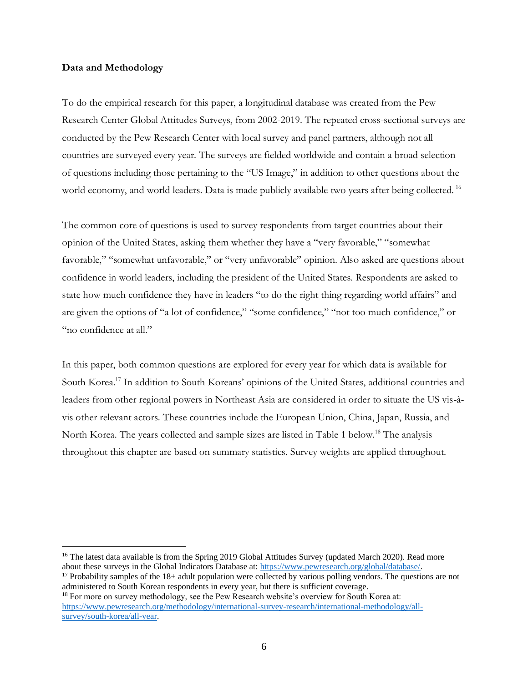### **Data and Methodology**

To do the empirical research for this paper, a longitudinal database was created from the Pew Research Center Global Attitudes Surveys, from 2002-2019. The repeated cross-sectional surveys are conducted by the Pew Research Center with local survey and panel partners, although not all countries are surveyed every year. The surveys are fielded worldwide and contain a broad selection of questions including those pertaining to the "US Image," in addition to other questions about the world economy, and world leaders. Data is made publicly available two years after being collected. <sup>16</sup>

The common core of questions is used to survey respondents from target countries about their opinion of the United States, asking them whether they have a "very favorable," "somewhat favorable," "somewhat unfavorable," or "very unfavorable" opinion. Also asked are questions about confidence in world leaders, including the president of the United States. Respondents are asked to state how much confidence they have in leaders "to do the right thing regarding world affairs" and are given the options of "a lot of confidence," "some confidence," "not too much confidence," or "no confidence at all."

In this paper, both common questions are explored for every year for which data is available for South Korea.<sup>17</sup> In addition to South Koreans' opinions of the United States, additional countries and leaders from other regional powers in Northeast Asia are considered in order to situate the US vis-àvis other relevant actors. These countries include the European Union, China, Japan, Russia, and North Korea. The years collected and sample sizes are listed in Table 1 below.<sup>18</sup> The analysis throughout this chapter are based on summary statistics. Survey weights are applied throughout.

<sup>&</sup>lt;sup>16</sup> The latest data available is from the Spring 2019 Global Attitudes Survey (updated March 2020). Read more about these surveys in the Global Indicators Database at[: https://www.pewresearch.org/global/database/.](https://www.pewresearch.org/global/database/)

<sup>&</sup>lt;sup>17</sup> Probability samples of the  $18+$  adult population were collected by various polling vendors. The questions are not administered to South Korean respondents in every year, but there is sufficient coverage.

<sup>&</sup>lt;sup>18</sup> For more on survey methodology, see the Pew Research website's overview for South Korea at: [https://www.pewresearch.org/methodology/international-survey-research/international-methodology/all](https://www.pewresearch.org/methodology/international-survey-research/international-methodology/all-survey/south-korea/all-year)[survey/south-korea/all-year.](https://www.pewresearch.org/methodology/international-survey-research/international-methodology/all-survey/south-korea/all-year)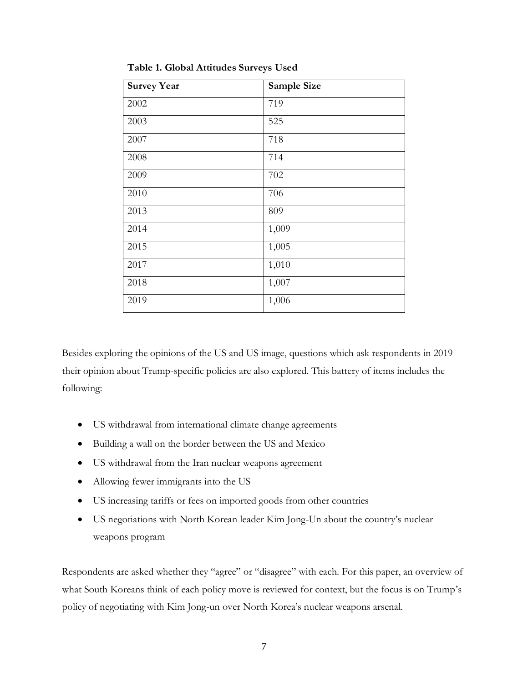| <b>Survey Year</b> | Sample Size |
|--------------------|-------------|
| 2002               | 719         |
| 2003               | 525         |
| 2007               | 718         |
| 2008               | 714         |
| 2009               | 702         |
| 2010               | 706         |
| 2013               | 809         |
| 2014               | 1,009       |
| 2015               | 1,005       |
| 2017               | 1,010       |
| 2018               | 1,007       |
| 2019               | 1,006       |

**Table 1. Global Attitudes Surveys Used**

Besides exploring the opinions of the US and US image, questions which ask respondents in 2019 their opinion about Trump-specific policies are also explored. This battery of items includes the following:

- US withdrawal from international climate change agreements
- Building a wall on the border between the US and Mexico
- US withdrawal from the Iran nuclear weapons agreement
- Allowing fewer immigrants into the US
- US increasing tariffs or fees on imported goods from other countries
- US negotiations with North Korean leader Kim Jong-Un about the country's nuclear weapons program

Respondents are asked whether they "agree" or "disagree" with each. For this paper, an overview of what South Koreans think of each policy move is reviewed for context, but the focus is on Trump's policy of negotiating with Kim Jong-un over North Korea's nuclear weapons arsenal.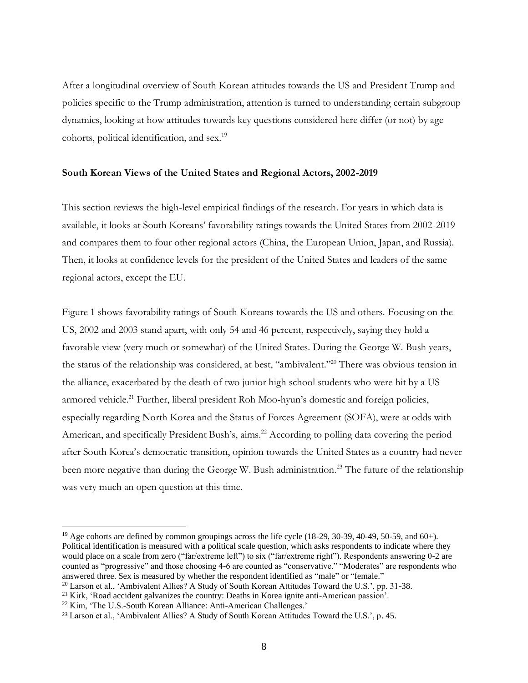After a longitudinal overview of South Korean attitudes towards the US and President Trump and policies specific to the Trump administration, attention is turned to understanding certain subgroup dynamics, looking at how attitudes towards key questions considered here differ (or not) by age cohorts, political identification, and sex.<sup>19</sup>

## **South Korean Views of the United States and Regional Actors, 2002-2019**

This section reviews the high-level empirical findings of the research. For years in which data is available, it looks at South Koreans' favorability ratings towards the United States from 2002-2019 and compares them to four other regional actors (China, the European Union, Japan, and Russia). Then, it looks at confidence levels for the president of the United States and leaders of the same regional actors, except the EU.

Figure 1 shows favorability ratings of South Koreans towards the US and others. Focusing on the US, 2002 and 2003 stand apart, with only 54 and 46 percent, respectively, saying they hold a favorable view (very much or somewhat) of the United States. During the George W. Bush years, the status of the relationship was considered, at best, "ambivalent."<sup>20</sup> There was obvious tension in the alliance, exacerbated by the death of two junior high school students who were hit by a US armored vehicle.<sup>21</sup> Further, liberal president Roh Moo-hyun's domestic and foreign policies, especially regarding North Korea and the Status of Forces Agreement (SOFA), were at odds with American, and specifically President Bush's, aims.<sup>22</sup> According to polling data covering the period after South Korea's democratic transition, opinion towards the United States as a country had never been more negative than during the George W. Bush administration.<sup>23</sup> The future of the relationship was very much an open question at this time.

<sup>&</sup>lt;sup>19</sup> Age cohorts are defined by common groupings across the life cycle (18-29, 30-39, 40-49, 50-59, and 60+). Political identification is measured with a political scale question, which asks respondents to indicate where they would place on a scale from zero ("far/extreme left") to six ("far/extreme right"). Respondents answering 0-2 are counted as "progressive" and those choosing 4-6 are counted as "conservative." "Moderates" are respondents who answered three. Sex is measured by whether the respondent identified as "male" or "female."

<sup>&</sup>lt;sup>20</sup> Larson et al., 'Ambivalent Allies? A Study of South Korean Attitudes Toward the U.S.', pp. 31-38.

<sup>21</sup> Kirk, 'Road accident galvanizes the country: Deaths in Korea ignite anti-American passion'.

<sup>22</sup> Kim, 'The U.S.-South Korean Alliance: Anti-American Challenges.'

<sup>&</sup>lt;sup>23</sup> Larson et al., 'Ambivalent Allies? A Study of South Korean Attitudes Toward the U.S.', p. 45.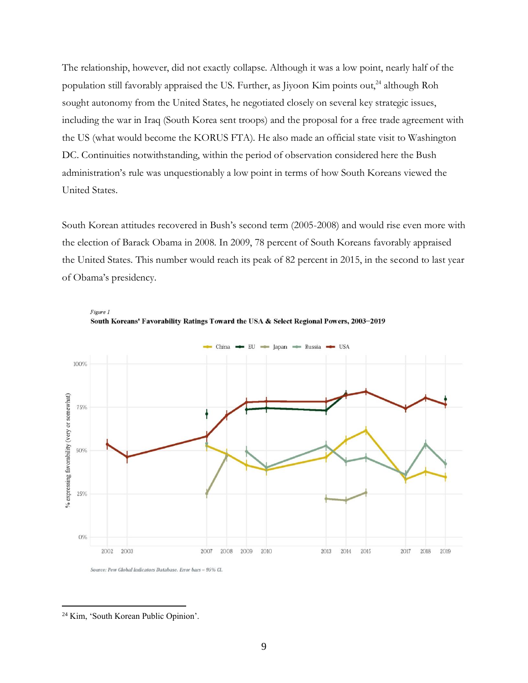The relationship, however, did not exactly collapse. Although it was a low point, nearly half of the population still favorably appraised the US. Further, as Jiyoon Kim points out,<sup>24</sup> although Roh sought autonomy from the United States, he negotiated closely on several key strategic issues, including the war in Iraq (South Korea sent troops) and the proposal for a free trade agreement with the US (what would become the KORUS FTA). He also made an official state visit to Washington DC. Continuities notwithstanding, within the period of observation considered here the Bush administration's rule was unquestionably a low point in terms of how South Koreans viewed the United States.

South Korean attitudes recovered in Bush's second term (2005-2008) and would rise even more with the election of Barack Obama in 2008. In 2009, 78 percent of South Koreans favorably appraised the United States. This number would reach its peak of 82 percent in 2015, in the second to last year of Obama's presidency.



South Koreans' Favorability Ratings Toward the USA & Select Regional Powers, 2003-2019

Source: Pew Global Indicators Database. Error bars = 95% CI.

Figure 1

<sup>24</sup> Kim, 'South Korean Public Opinion'.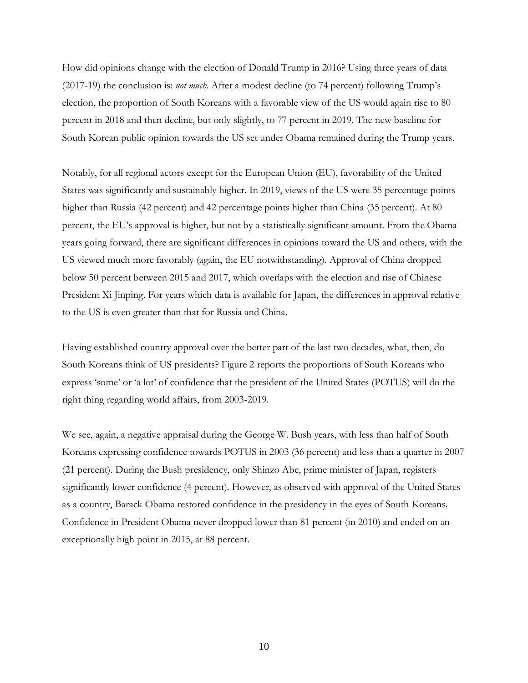How did opinions change with the election of Donald Trump in 2016? Using three years of data (2017-19) the conclusion is: *not much*. After a modest decline (to 74 percent) following Trump's election, the proportion of South Koreans with a favorable view of the US would again rise to 80 percent in 2018 and then decline, but only slightly, to 77 percent in 2019. The new baseline for South Korean public opinion towards the US set under Obama remained during the Trump years.

Notably, for all regional actors except for the European Union (EU), favorability of the United States was significantly and sustainably higher. In 2019, views of the US were 35 percentage points higher than Russia (42 percent) and 42 percentage points higher than China (35 percent). At 80 percent, the EU's approval is higher, but not by a statistically significant amount. From the Obama years going forward, there are significant differences in opinions toward the US and others, with the US viewed much more favorably (again, the EU notwithstanding). Approval of China dropped below 50 percent between 2015 and 2017, which overlaps with the election and rise of Chinese President Xi Jinping. For years which data is available for Japan, the differences in approval relative to the US is even greater than that for Russia and China.

Having established country approval over the better part of the last two decades, what, then, do South Koreans think of US presidents? Figure 2 reports the proportions of South Koreans who express 'some' or 'a lot' of confidence that the president of the United States (POTUS) will do the right thing regarding world affairs, from 2003-2019.

We see, again, a negative appraisal during the George W. Bush years, with less than half of South Koreans expressing confidence towards POTUS in 2003 (36 percent) and less than a quarter in 2007 (21 percent). During the Bush presidency, only Shinzo Abe, prime minister of Japan, registers significantly lower confidence (4 percent). However, as observed with approval of the United States as a country, Barack Obama restored confidence in the presidency in the eyes of South Koreans. Confidence in President Obama never dropped lower than 81 percent (in 2010) and ended on an exceptionally high point in 2015, at 88 percent.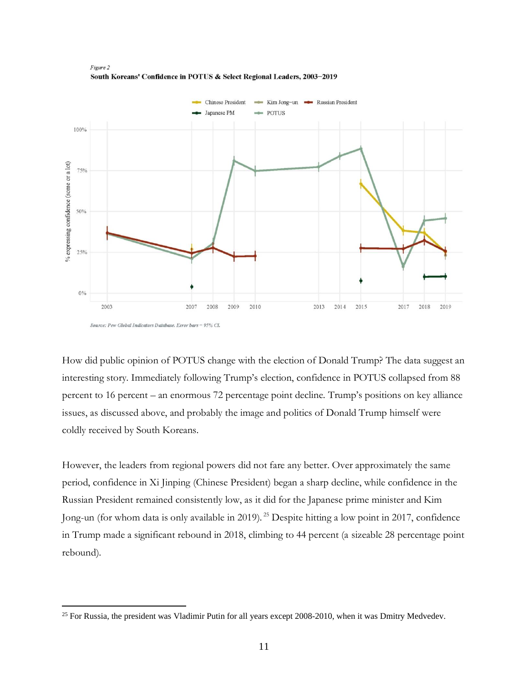

Figure 2 South Koreans' Confidence in POTUS & Select Regional Leaders, 2003-2019

How did public opinion of POTUS change with the election of Donald Trump? The data suggest an interesting story. Immediately following Trump's election, confidence in POTUS collapsed from 88 percent to 16 percent – an enormous 72 percentage point decline. Trump's positions on key alliance issues, as discussed above, and probably the image and politics of Donald Trump himself were coldly received by South Koreans.

However, the leaders from regional powers did not fare any better. Over approximately the same period, confidence in Xi Jinping (Chinese President) began a sharp decline, while confidence in the Russian President remained consistently low, as it did for the Japanese prime minister and Kim Jong-un (for whom data is only available in 2019). <sup>25</sup> Despite hitting a low point in 2017, confidence in Trump made a significant rebound in 2018, climbing to 44 percent (a sizeable 28 percentage point rebound).

Source: Pew Global Indicators Database. Error bars = 95% CI.

 $25$  For Russia, the president was Vladimir Putin for all years except 2008-2010, when it was Dmitry Medvedev.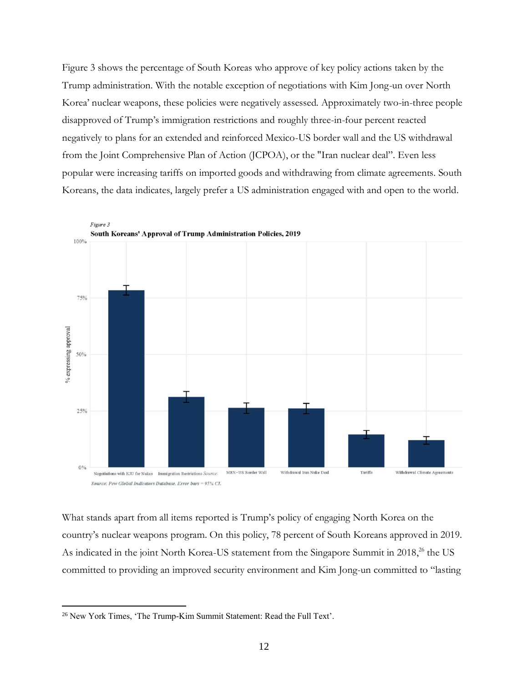Figure 3 shows the percentage of South Koreas who approve of key policy actions taken by the Trump administration. With the notable exception of negotiations with Kim Jong-un over North Korea' nuclear weapons, these policies were negatively assessed. Approximately two-in-three people disapproved of Trump's immigration restrictions and roughly three-in-four percent reacted negatively to plans for an extended and reinforced Mexico-US border wall and the US withdrawal from the Joint Comprehensive Plan of Action (JCPOA), or the "Iran nuclear deal". Even less popular were increasing tariffs on imported goods and withdrawing from climate agreements. South Koreans, the data indicates, largely prefer a US administration engaged with and open to the world.



What stands apart from all items reported is Trump's policy of engaging North Korea on the country's nuclear weapons program. On this policy, 78 percent of South Koreans approved in 2019. As indicated in the joint North Korea-US statement from the Singapore Summit in 2018,<sup>26</sup> the US committed to providing an improved security environment and Kim Jong-un committed to "lasting

<sup>&</sup>lt;sup>26</sup> New York Times, 'The Trump-Kim Summit Statement: Read the Full Text'.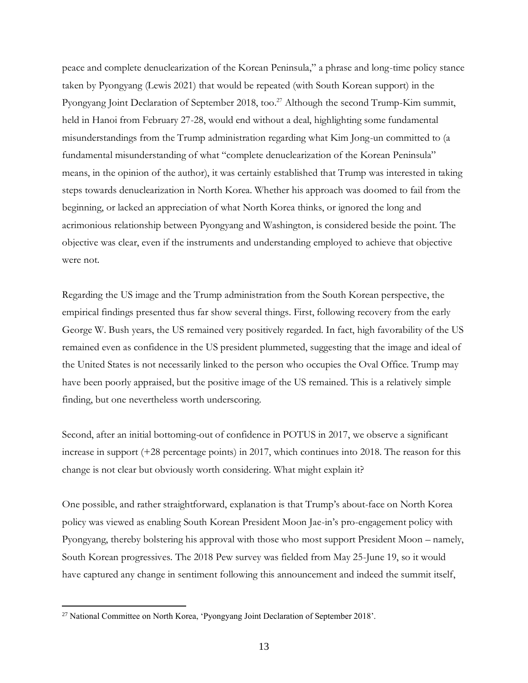peace and complete denuclearization of the Korean Peninsula," a phrase and long-time policy stance taken by Pyongyang (Lewis 2021) that would be repeated (with South Korean support) in the Pyongyang Joint Declaration of September 2018, too.<sup>27</sup> Although the second Trump-Kim summit, held in Hanoi from February 27-28, would end without a deal, highlighting some fundamental misunderstandings from the Trump administration regarding what Kim Jong-un committed to (a fundamental misunderstanding of what "complete denuclearization of the Korean Peninsula" means, in the opinion of the author), it was certainly established that Trump was interested in taking steps towards denuclearization in North Korea. Whether his approach was doomed to fail from the beginning, or lacked an appreciation of what North Korea thinks, or ignored the long and acrimonious relationship between Pyongyang and Washington, is considered beside the point. The objective was clear, even if the instruments and understanding employed to achieve that objective were not.

Regarding the US image and the Trump administration from the South Korean perspective, the empirical findings presented thus far show several things. First, following recovery from the early George W. Bush years, the US remained very positively regarded. In fact, high favorability of the US remained even as confidence in the US president plummeted, suggesting that the image and ideal of the United States is not necessarily linked to the person who occupies the Oval Office. Trump may have been poorly appraised, but the positive image of the US remained. This is a relatively simple finding, but one nevertheless worth underscoring.

Second, after an initial bottoming-out of confidence in POTUS in 2017, we observe a significant increase in support (+28 percentage points) in 2017, which continues into 2018. The reason for this change is not clear but obviously worth considering. What might explain it?

One possible, and rather straightforward, explanation is that Trump's about-face on North Korea policy was viewed as enabling South Korean President Moon Jae-in's pro-engagement policy with Pyongyang, thereby bolstering his approval with those who most support President Moon – namely, South Korean progressives. The 2018 Pew survey was fielded from May 25-June 19, so it would have captured any change in sentiment following this announcement and indeed the summit itself,

<sup>&</sup>lt;sup>27</sup> National Committee on North Korea, 'Pyongyang Joint Declaration of September 2018'.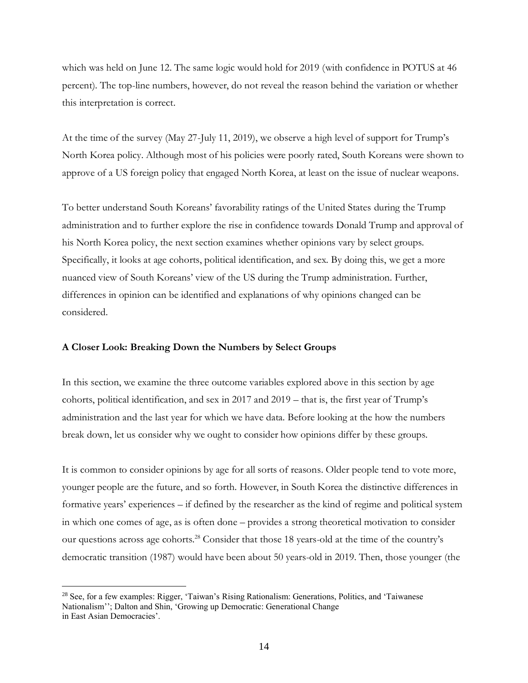which was held on June 12. The same logic would hold for 2019 (with confidence in POTUS at 46 percent). The top-line numbers, however, do not reveal the reason behind the variation or whether this interpretation is correct.

At the time of the survey (May 27-July 11, 2019), we observe a high level of support for Trump's North Korea policy. Although most of his policies were poorly rated, South Koreans were shown to approve of a US foreign policy that engaged North Korea, at least on the issue of nuclear weapons.

To better understand South Koreans' favorability ratings of the United States during the Trump administration and to further explore the rise in confidence towards Donald Trump and approval of his North Korea policy, the next section examines whether opinions vary by select groups. Specifically, it looks at age cohorts, political identification, and sex. By doing this, we get a more nuanced view of South Koreans' view of the US during the Trump administration. Further, differences in opinion can be identified and explanations of why opinions changed can be considered.

## **A Closer Look: Breaking Down the Numbers by Select Groups**

In this section, we examine the three outcome variables explored above in this section by age cohorts, political identification, and sex in 2017 and 2019 – that is, the first year of Trump's administration and the last year for which we have data. Before looking at the how the numbers break down, let us consider why we ought to consider how opinions differ by these groups.

It is common to consider opinions by age for all sorts of reasons. Older people tend to vote more, younger people are the future, and so forth. However, in South Korea the distinctive differences in formative years' experiences – if defined by the researcher as the kind of regime and political system in which one comes of age, as is often done – provides a strong theoretical motivation to consider our questions across age cohorts.<sup>28</sup> Consider that those 18 years-old at the time of the country's democratic transition (1987) would have been about 50 years-old in 2019. Then, those younger (the

<sup>28</sup> See, for a few examples: Rigger, 'Taiwan's Rising Rationalism: Generations, Politics, and 'Taiwanese Nationalism''; Dalton and Shin, 'Growing up Democratic: Generational Change in East Asian Democracies'.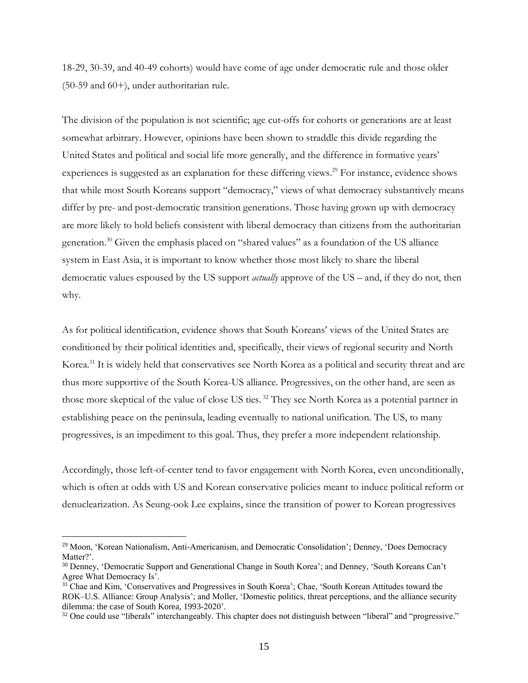18-29, 30-39, and 40-49 cohorts) would have come of age under democratic rule and those older (50-59 and 60+), under authoritarian rule.

The division of the population is not scientific; age cut-offs for cohorts or generations are at least somewhat arbitrary. However, opinions have been shown to straddle this divide regarding the United States and political and social life more generally, and the difference in formative years' experiences is suggested as an explanation for these differing views. <sup>29</sup> For instance, evidence shows that while most South Koreans support "democracy," views of what democracy substantively means differ by pre- and post-democratic transition generations. Those having grown up with democracy are more likely to hold beliefs consistent with liberal democracy than citizens from the authoritarian generation. <sup>30</sup> Given the emphasis placed on "shared values" as a foundation of the US alliance system in East Asia, it is important to know whether those most likely to share the liberal democratic values espoused by the US support *actually* approve of the US – and, if they do not, then why.

As for political identification, evidence shows that South Koreans' views of the United States are conditioned by their political identities and, specifically, their views of regional security and North Korea.<sup>31</sup> It is widely held that conservatives see North Korea as a political and security threat and are thus more supportive of the South Korea-US alliance. Progressives, on the other hand, are seen as those more skeptical of the value of close US ties. <sup>32</sup> They see North Korea as a potential partner in establishing peace on the peninsula, leading eventually to national unification. The US, to many progressives, is an impediment to this goal. Thus, they prefer a more independent relationship.

Accordingly, those left-of-center tend to favor engagement with North Korea, even unconditionally, which is often at odds with US and Korean conservative policies meant to induce political reform or denuclearization. As Seung-ook Lee explains, since the transition of power to Korean progressives

<sup>&</sup>lt;sup>29</sup> Moon, 'Korean Nationalism, Anti-Americanism, and Democratic Consolidation'; Denney, 'Does Democracy Matter?'.

<sup>30</sup> Denney, 'Democratic Support and Generational Change in South Korea'; and Denney, 'South Koreans Can't Agree What Democracy Is'.

<sup>&</sup>lt;sup>31</sup> Chae and Kim, 'Conservatives and Progressives in South Korea'; Chae, 'South Korean Attitudes toward the ROK–U.S. Alliance: Group Analysis'; and Moller, 'Domestic politics, threat perceptions, and the alliance security dilemma: the case of South Korea, 1993-2020'.

 $32$  One could use "liberals" interchangeably. This chapter does not distinguish between "liberal" and "progressive."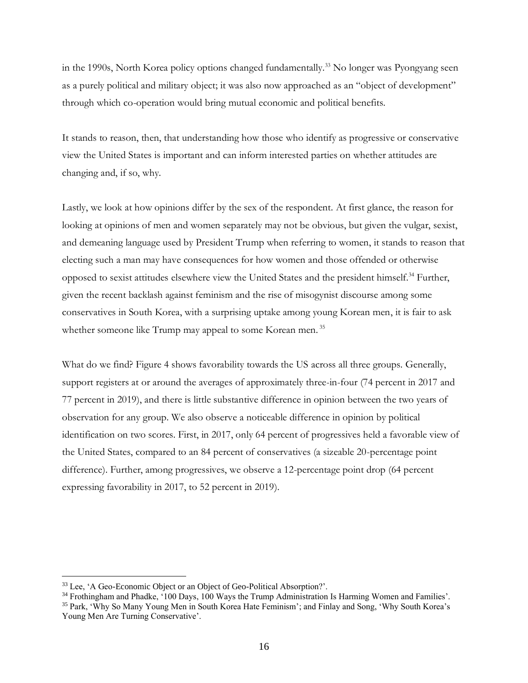in the 1990s, North Korea policy options changed fundamentally.<sup>33</sup> No longer was Pyongyang seen as a purely political and military object; it was also now approached as an "object of development" through which co-operation would bring mutual economic and political benefits.

It stands to reason, then, that understanding how those who identify as progressive or conservative view the United States is important and can inform interested parties on whether attitudes are changing and, if so, why.

Lastly, we look at how opinions differ by the sex of the respondent. At first glance, the reason for looking at opinions of men and women separately may not be obvious, but given the vulgar, sexist, and demeaning language used by President Trump when referring to women, it stands to reason that electing such a man may have consequences for how women and those offended or otherwise opposed to sexist attitudes elsewhere view the United States and the president himself.<sup>34</sup> Further, given the recent backlash against feminism and the rise of misogynist discourse among some conservatives in South Korea, with a surprising uptake among young Korean men, it is fair to ask whether someone like Trump may appeal to some Korean men.<sup>35</sup>

What do we find? Figure 4 shows favorability towards the US across all three groups. Generally, support registers at or around the averages of approximately three-in-four (74 percent in 2017 and 77 percent in 2019), and there is little substantive difference in opinion between the two years of observation for any group. We also observe a noticeable difference in opinion by political identification on two scores. First, in 2017, only 64 percent of progressives held a favorable view of the United States, compared to an 84 percent of conservatives (a sizeable 20-percentage point difference). Further, among progressives, we observe a 12-percentage point drop (64 percent expressing favorability in 2017, to 52 percent in 2019).

<sup>&</sup>lt;sup>33</sup> Lee, 'A Geo-Economic Object or an Object of Geo-Political Absorption?'.

<sup>&</sup>lt;sup>34</sup> Frothingham and Phadke, '100 Days, 100 Ways the Trump Administration Is Harming Women and Families'. <sup>35</sup> Park, 'Why So Many Young Men in South Korea Hate Feminism'; and Finlay and Song, 'Why South Korea's Young Men Are Turning Conservative'.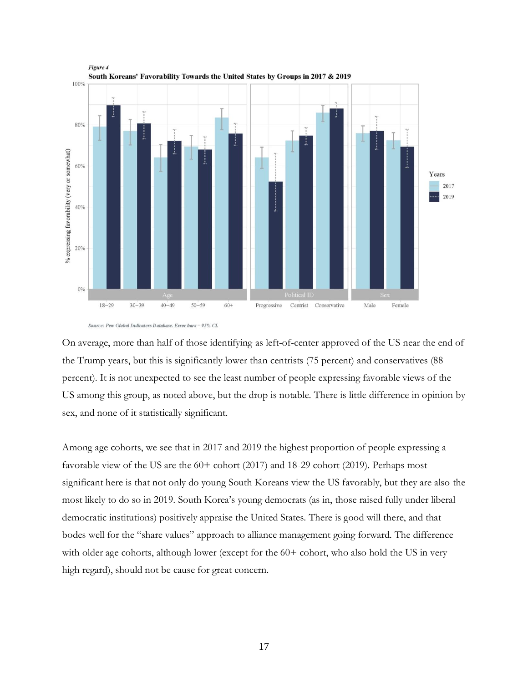

Source: Pew Global Indicators Database. Error bars = 95% CI.

On average, more than half of those identifying as left-of-center approved of the US near the end of the Trump years, but this is significantly lower than centrists (75 percent) and conservatives (88 percent). It is not unexpected to see the least number of people expressing favorable views of the US among this group, as noted above, but the drop is notable. There is little difference in opinion by sex, and none of it statistically significant.

Among age cohorts, we see that in 2017 and 2019 the highest proportion of people expressing a favorable view of the US are the 60+ cohort (2017) and 18-29 cohort (2019). Perhaps most significant here is that not only do young South Koreans view the US favorably, but they are also the most likely to do so in 2019. South Korea's young democrats (as in, those raised fully under liberal democratic institutions) positively appraise the United States. There is good will there, and that bodes well for the "share values" approach to alliance management going forward. The difference with older age cohorts, although lower (except for the  $60+$  cohort, who also hold the US in very high regard), should not be cause for great concern.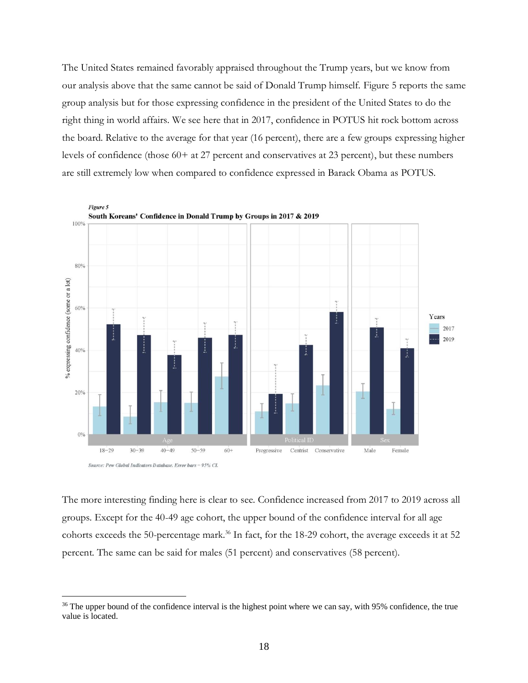The United States remained favorably appraised throughout the Trump years, but we know from our analysis above that the same cannot be said of Donald Trump himself. Figure 5 reports the same group analysis but for those expressing confidence in the president of the United States to do the right thing in world affairs. We see here that in 2017, confidence in POTUS hit rock bottom across the board. Relative to the average for that year (16 percent), there are a few groups expressing higher levels of confidence (those 60+ at 27 percent and conservatives at 23 percent), but these numbers are still extremely low when compared to confidence expressed in Barack Obama as POTUS.





The more interesting finding here is clear to see. Confidence increased from 2017 to 2019 across all groups. Except for the 40-49 age cohort, the upper bound of the confidence interval for all age cohorts exceeds the 50-percentage mark.<sup>36</sup> In fact, for the 18-29 cohort, the average exceeds it at 52 percent. The same can be said for males (51 percent) and conservatives (58 percent).

<sup>&</sup>lt;sup>36</sup> The upper bound of the confidence interval is the highest point where we can say, with 95% confidence, the true value is located.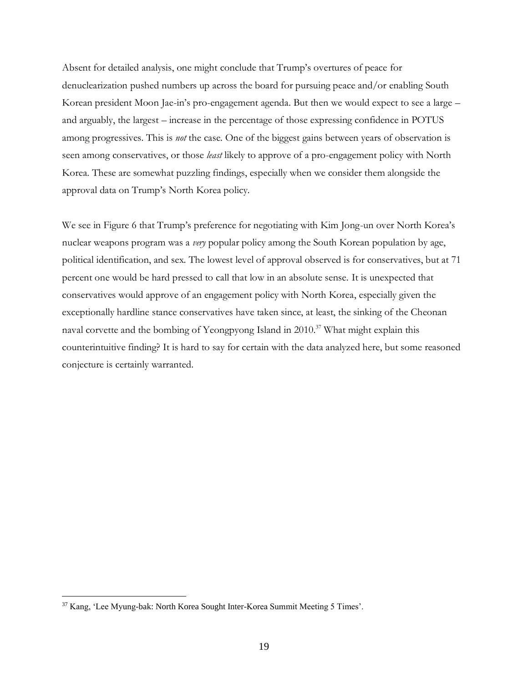Absent for detailed analysis, one might conclude that Trump's overtures of peace for denuclearization pushed numbers up across the board for pursuing peace and/or enabling South Korean president Moon Jae-in's pro-engagement agenda. But then we would expect to see a large – and arguably, the largest – increase in the percentage of those expressing confidence in POTUS among progressives. This is *not* the case. One of the biggest gains between years of observation is seen among conservatives, or those *least* likely to approve of a pro-engagement policy with North Korea. These are somewhat puzzling findings, especially when we consider them alongside the approval data on Trump's North Korea policy.

We see in Figure 6 that Trump's preference for negotiating with Kim Jong-un over North Korea's nuclear weapons program was a *very* popular policy among the South Korean population by age, political identification, and sex. The lowest level of approval observed is for conservatives, but at 71 percent one would be hard pressed to call that low in an absolute sense. It is unexpected that conservatives would approve of an engagement policy with North Korea, especially given the exceptionally hardline stance conservatives have taken since, at least, the sinking of the Cheonan naval corvette and the bombing of Yeongpyong Island in 2010. <sup>37</sup> What might explain this counterintuitive finding? It is hard to say for certain with the data analyzed here, but some reasoned conjecture is certainly warranted.

<sup>37</sup> Kang, 'Lee Myung-bak: North Korea Sought Inter-Korea Summit Meeting 5 Times'.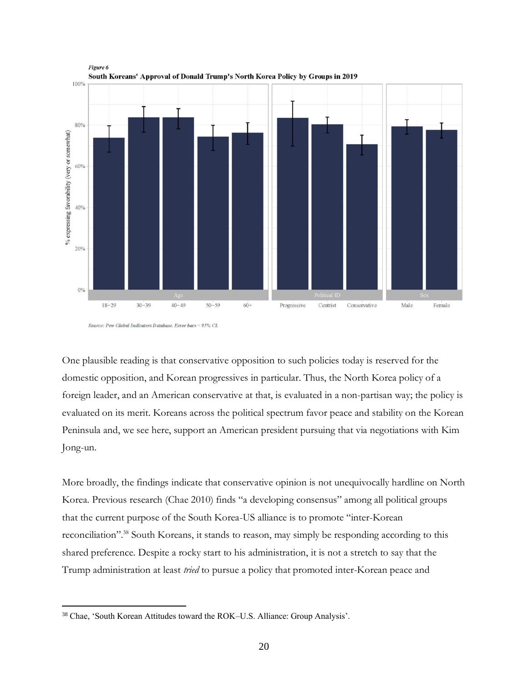

Source: Pew Global Indicators Database. Error bars = 95% CI.

One plausible reading is that conservative opposition to such policies today is reserved for the domestic opposition, and Korean progressives in particular. Thus, the North Korea policy of a foreign leader, and an American conservative at that, is evaluated in a non-partisan way; the policy is evaluated on its merit. Koreans across the political spectrum favor peace and stability on the Korean Peninsula and, we see here, support an American president pursuing that via negotiations with Kim Jong-un.

More broadly, the findings indicate that conservative opinion is not unequivocally hardline on North Korea. Previous research (Chae 2010) finds "a developing consensus" among all political groups that the current purpose of the South Korea-US alliance is to promote "inter-Korean reconciliation".<sup>38</sup> South Koreans, it stands to reason, may simply be responding according to this shared preference. Despite a rocky start to his administration, it is not a stretch to say that the Trump administration at least *tried* to pursue a policy that promoted inter-Korean peace and

<sup>38</sup> Chae, 'South Korean Attitudes toward the ROK–U.S. Alliance: Group Analysis'.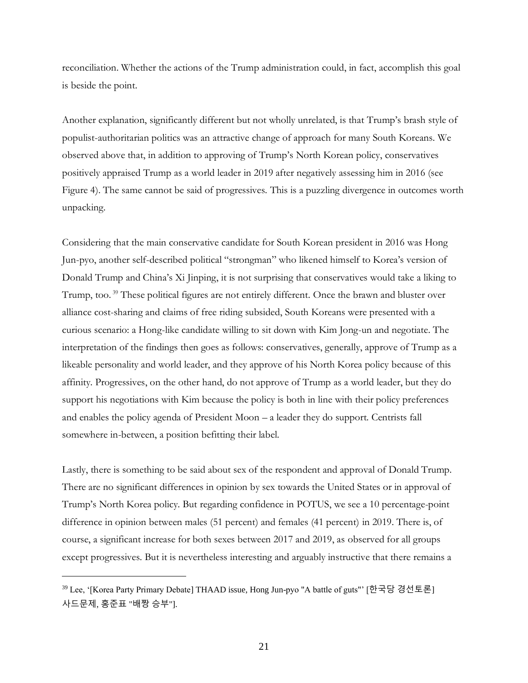reconciliation. Whether the actions of the Trump administration could, in fact, accomplish this goal is beside the point.

Another explanation, significantly different but not wholly unrelated, is that Trump's brash style of populist-authoritarian politics was an attractive change of approach for many South Koreans. We observed above that, in addition to approving of Trump's North Korean policy, conservatives positively appraised Trump as a world leader in 2019 after negatively assessing him in 2016 (see Figure 4). The same cannot be said of progressives. This is a puzzling divergence in outcomes worth unpacking.

Considering that the main conservative candidate for South Korean president in 2016 was Hong Jun-pyo, another self-described political "strongman" who likened himself to Korea's version of Donald Trump and China's Xi Jinping, it is not surprising that conservatives would take a liking to Trump, too.<sup>39</sup> These political figures are not entirely different. Once the brawn and bluster over alliance cost-sharing and claims of free riding subsided, South Koreans were presented with a curious scenario: a Hong-like candidate willing to sit down with Kim Jong-un and negotiate. The interpretation of the findings then goes as follows: conservatives, generally, approve of Trump as a likeable personality and world leader, and they approve of his North Korea policy because of this affinity. Progressives, on the other hand, do not approve of Trump as a world leader, but they do support his negotiations with Kim because the policy is both in line with their policy preferences and enables the policy agenda of President Moon – a leader they do support. Centrists fall somewhere in-between, a position befitting their label.

Lastly, there is something to be said about sex of the respondent and approval of Donald Trump. There are no significant differences in opinion by sex towards the United States or in approval of Trump's North Korea policy. But regarding confidence in POTUS, we see a 10 percentage-point difference in opinion between males (51 percent) and females (41 percent) in 2019. There is, of course, a significant increase for both sexes between 2017 and 2019, as observed for all groups except progressives. But it is nevertheless interesting and arguably instructive that there remains a

<sup>39</sup> Lee, '[Korea Party Primary Debate] THAAD issue, Hong Jun-pyo "A battle of guts"' [한국당 경선토론] 사드문제, 홍준표 "배짱 승부"].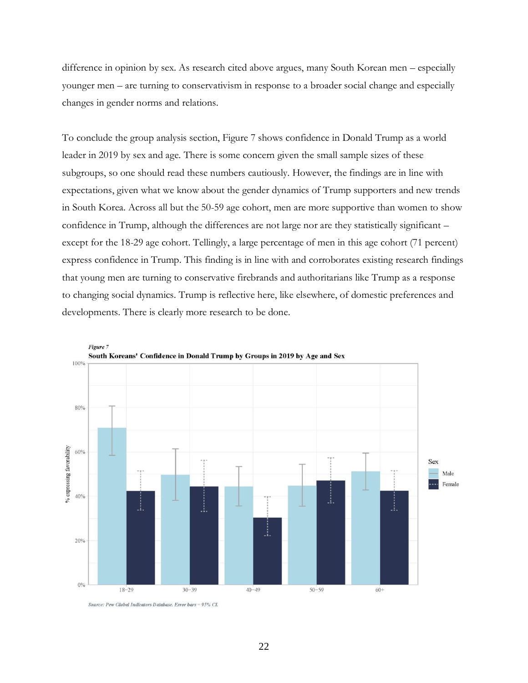difference in opinion by sex. As research cited above argues, many South Korean men – especially younger men – are turning to conservativism in response to a broader social change and especially changes in gender norms and relations.

To conclude the group analysis section, Figure 7 shows confidence in Donald Trump as a world leader in 2019 by sex and age. There is some concern given the small sample sizes of these subgroups, so one should read these numbers cautiously. However, the findings are in line with expectations, given what we know about the gender dynamics of Trump supporters and new trends in South Korea. Across all but the 50-59 age cohort, men are more supportive than women to show confidence in Trump, although the differences are not large nor are they statistically significant – except for the 18-29 age cohort. Tellingly, a large percentage of men in this age cohort (71 percent) express confidence in Trump. This finding is in line with and corroborates existing research findings that young men are turning to conservative firebrands and authoritarians like Trump as a response to changing social dynamics. Trump is reflective here, like elsewhere, of domestic preferences and developments. There is clearly more research to be done.



Figure 7

Source: Pew Global Indicators Database. Error bars = 95% CI.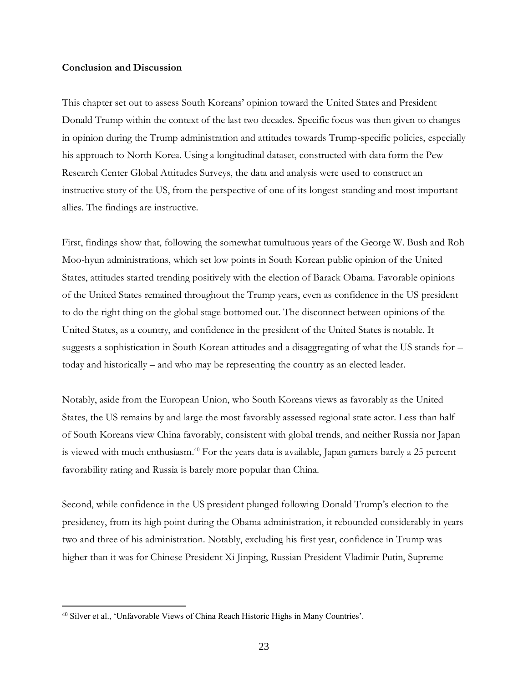#### **Conclusion and Discussion**

This chapter set out to assess South Koreans' opinion toward the United States and President Donald Trump within the context of the last two decades. Specific focus was then given to changes in opinion during the Trump administration and attitudes towards Trump-specific policies, especially his approach to North Korea. Using a longitudinal dataset, constructed with data form the Pew Research Center Global Attitudes Surveys, the data and analysis were used to construct an instructive story of the US, from the perspective of one of its longest-standing and most important allies. The findings are instructive.

First, findings show that, following the somewhat tumultuous years of the George W. Bush and Roh Moo-hyun administrations, which set low points in South Korean public opinion of the United States, attitudes started trending positively with the election of Barack Obama. Favorable opinions of the United States remained throughout the Trump years, even as confidence in the US president to do the right thing on the global stage bottomed out. The disconnect between opinions of the United States, as a country, and confidence in the president of the United States is notable. It suggests a sophistication in South Korean attitudes and a disaggregating of what the US stands for – today and historically – and who may be representing the country as an elected leader.

Notably, aside from the European Union, who South Koreans views as favorably as the United States, the US remains by and large the most favorably assessed regional state actor. Less than half of South Koreans view China favorably, consistent with global trends, and neither Russia nor Japan is viewed with much enthusiasm. <sup>40</sup> For the years data is available, Japan garners barely a 25 percent favorability rating and Russia is barely more popular than China.

Second, while confidence in the US president plunged following Donald Trump's election to the presidency, from its high point during the Obama administration, it rebounded considerably in years two and three of his administration. Notably, excluding his first year, confidence in Trump was higher than it was for Chinese President Xi Jinping, Russian President Vladimir Putin, Supreme

<sup>40</sup> Silver et al., 'Unfavorable Views of China Reach Historic Highs in Many Countries'.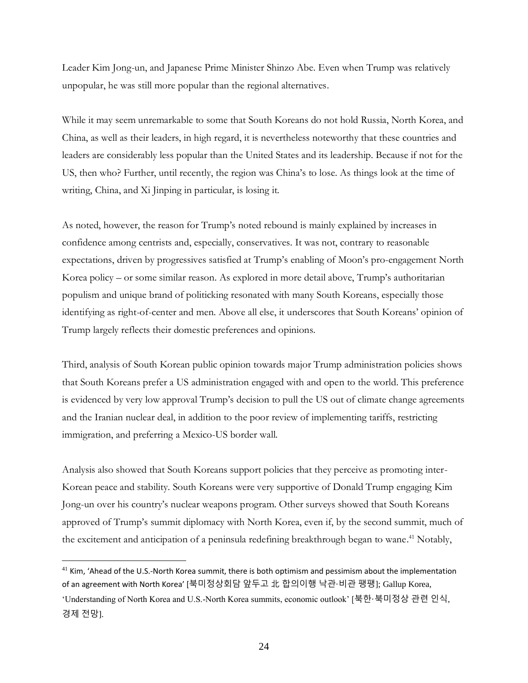Leader Kim Jong-un, and Japanese Prime Minister Shinzo Abe. Even when Trump was relatively unpopular, he was still more popular than the regional alternatives.

While it may seem unremarkable to some that South Koreans do not hold Russia, North Korea, and China, as well as their leaders, in high regard, it is nevertheless noteworthy that these countries and leaders are considerably less popular than the United States and its leadership. Because if not for the US, then who? Further, until recently, the region was China's to lose. As things look at the time of writing, China, and Xi Jinping in particular, is losing it.

As noted, however, the reason for Trump's noted rebound is mainly explained by increases in confidence among centrists and, especially, conservatives. It was not, contrary to reasonable expectations, driven by progressives satisfied at Trump's enabling of Moon's pro-engagement North Korea policy – or some similar reason. As explored in more detail above, Trump's authoritarian populism and unique brand of politicking resonated with many South Koreans, especially those identifying as right-of-center and men. Above all else, it underscores that South Koreans' opinion of Trump largely reflects their domestic preferences and opinions.

Third, analysis of South Korean public opinion towards major Trump administration policies shows that South Koreans prefer a US administration engaged with and open to the world. This preference is evidenced by very low approval Trump's decision to pull the US out of climate change agreements and the Iranian nuclear deal, in addition to the poor review of implementing tariffs, restricting immigration, and preferring a Mexico-US border wall.

Analysis also showed that South Koreans support policies that they perceive as promoting inter-Korean peace and stability. South Koreans were very supportive of Donald Trump engaging Kim Jong-un over his country's nuclear weapons program. Other surveys showed that South Koreans approved of Trump's summit diplomacy with North Korea, even if, by the second summit, much of the excitement and anticipation of a peninsula redefining breakthrough began to wane. <sup>41</sup> Notably,

 $41$  Kim, 'Ahead of the U.S.-North Korea summit, there is both optimism and pessimism about the implementation of an agreement with North Korea' [북미정상회담 앞두고 北 합의이행 낙관·비관 팽팽]; Gallup Korea, 'Understanding of North Korea and U.S.-North Korea summits, economic outlook' [북한·북미정상 관련 인식, 경제 전망].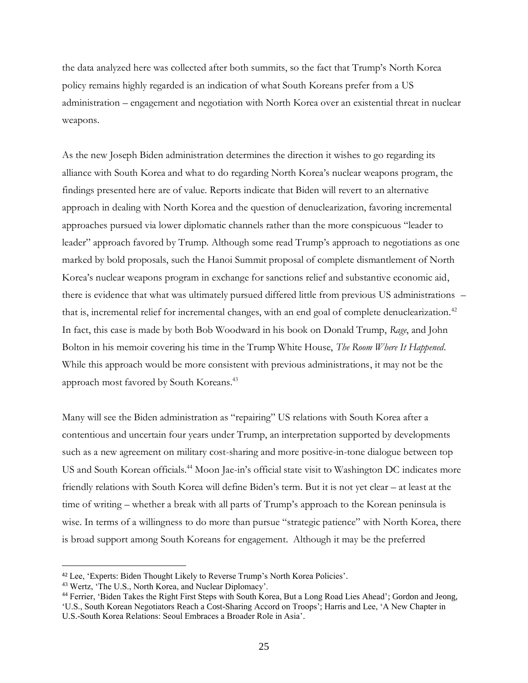the data analyzed here was collected after both summits, so the fact that Trump's North Korea policy remains highly regarded is an indication of what South Koreans prefer from a US administration – engagement and negotiation with North Korea over an existential threat in nuclear weapons.

As the new Joseph Biden administration determines the direction it wishes to go regarding its alliance with South Korea and what to do regarding North Korea's nuclear weapons program, the findings presented here are of value. Reports indicate that Biden will revert to an alternative approach in dealing with North Korea and the question of denuclearization, favoring incremental approaches pursued via lower diplomatic channels rather than the more conspicuous "leader to leader" approach favored by Trump. Although some read Trump's approach to negotiations as one marked by bold proposals, such the Hanoi Summit proposal of complete dismantlement of North Korea's nuclear weapons program in exchange for sanctions relief and substantive economic aid, there is evidence that what was ultimately pursued differed little from previous US administrations – that is, incremental relief for incremental changes, with an end goal of complete denuclearization.<sup>42</sup> In fact, this case is made by both Bob Woodward in his book on Donald Trump, *Rage*, and John Bolton in his memoir covering his time in the Trump White House, *The Room Where It Happened*. While this approach would be more consistent with previous administrations, it may not be the approach most favored by South Koreans.<sup>43</sup>

Many will see the Biden administration as "repairing" US relations with South Korea after a contentious and uncertain four years under Trump, an interpretation supported by developments such as a new agreement on military cost-sharing and more positive-in-tone dialogue between top US and South Korean officials.<sup>44</sup> Moon Jae-in's official state visit to Washington DC indicates more friendly relations with South Korea will define Biden's term. But it is not yet clear – at least at the time of writing – whether a break with all parts of Trump's approach to the Korean peninsula is wise. In terms of a willingness to do more than pursue "strategic patience" with North Korea, there is broad support among South Koreans for engagement. Although it may be the preferred

<sup>42</sup> Lee, 'Experts: Biden Thought Likely to Reverse Trump's North Korea Policies'.

<sup>43</sup> Wertz, 'The U.S., North Korea, and Nuclear Diplomacy'.

<sup>44</sup> Ferrier, 'Biden Takes the Right First Steps with South Korea, But a Long Road Lies Ahead'; Gordon and Jeong, 'U.S., South Korean Negotiators Reach a Cost-Sharing Accord on Troops'; Harris and Lee, 'A New Chapter in

U.S.-South Korea Relations: Seoul Embraces a Broader Role in Asia'.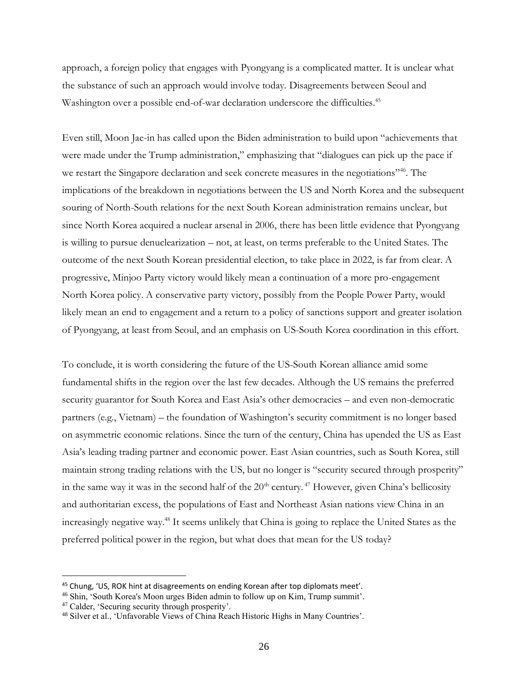approach, a foreign policy that engages with Pyongyang is a complicated matter. It is unclear what the substance of such an approach would involve today. Disagreements between Seoul and Washington over a possible end-of-war declaration underscore the difficulties.<sup>45</sup>

Even still, Moon Jae-in has called upon the Biden administration to build upon "achievements that were made under the Trump administration," emphasizing that "dialogues can pick up the pace if we restart the Singapore declaration and seek concrete measures in the negotiations"<sup>46</sup>. The implications of the breakdown in negotiations between the US and North Korea and the subsequent souring of North-South relations for the next South Korean administration remains unclear, but since North Korea acquired a nuclear arsenal in 2006, there has been little evidence that Pyongyang is willing to pursue denuclearization – not, at least, on terms preferable to the United States. The outcome of the next South Korean presidential election, to take place in 2022, is far from clear. A progressive, Minjoo Party victory would likely mean a continuation of a more pro-engagement North Korea policy. A conservative party victory, possibly from the People Power Party, would likely mean an end to engagement and a return to a policy of sanctions support and greater isolation of Pyongyang, at least from Seoul, and an emphasis on US-South Korea coordination in this effort.

To conclude, it is worth considering the future of the US-South Korean alliance amid some fundamental shifts in the region over the last few decades. Although the US remains the preferred security guarantor for South Korea and East Asia's other democracies – and even non-democratic partners (e.g., Vietnam) – the foundation of Washington's security commitment is no longer based on asymmetric economic relations. Since the turn of the century, China has upended the US as East Asia's leading trading partner and economic power. East Asian countries, such as South Korea, still maintain strong trading relations with the US, but no longer is "security secured through prosperity" in the same way it was in the second half of the  $20<sup>th</sup>$  century.<sup>47</sup> However, given China's bellicosity and authoritarian excess, the populations of East and Northeast Asian nations view China in an increasingly negative way. <sup>48</sup> It seems unlikely that China is going to replace the United States as the preferred political power in the region, but what does that mean for the US today?

<sup>45</sup> Chung, 'US, ROK hint at disagreements on ending Korean after top diplomats meet'.

<sup>46</sup> Shin, 'South Korea's Moon urges Biden admin to follow up on Kim, Trump summit'.

<sup>47</sup> Calder, 'Securing security through prosperity'.

<sup>48</sup> Silver et al., 'Unfavorable Views of China Reach Historic Highs in Many Countries'.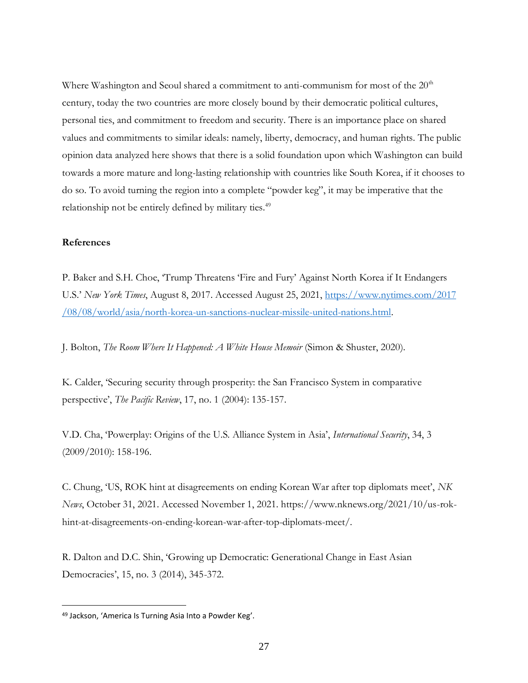Where Washington and Seoul shared a commitment to anti-communism for most of the  $20<sup>th</sup>$ century, today the two countries are more closely bound by their democratic political cultures, personal ties, and commitment to freedom and security. There is an importance place on shared values and commitments to similar ideals: namely, liberty, democracy, and human rights. The public opinion data analyzed here shows that there is a solid foundation upon which Washington can build towards a more mature and long-lasting relationship with countries like South Korea, if it chooses to do so. To avoid turning the region into a complete "powder keg", it may be imperative that the relationship not be entirely defined by military ties.<sup>49</sup>

# **References**

P. Baker and S.H. Choe, 'Trump Threatens 'Fire and Fury' Against North Korea if It Endangers U.S.' *New York Times*, August 8, 2017. Accessed August 25, 2021, [https://www.nytimes.com/2017](https://www.nytimes.com/2017/08/08/world/asia/north-korea-un-sanctions-nuclear-missile-united-nations.html) [/08/08/world/asia/north-korea-un-sanctions-nuclear-missile-united-nations.html.](https://www.nytimes.com/2017/08/08/world/asia/north-korea-un-sanctions-nuclear-missile-united-nations.html)

J. Bolton, *The Room Where It Happened: A White House Memoir* (Simon & Shuster, 2020).

K. Calder, 'Securing security through prosperity: the San Francisco System in comparative perspective', *The Pacific Review*, 17, no. 1 (2004): 135-157.

V.D. Cha, 'Powerplay: Origins of the U.S. Alliance System in Asia', *International Security*, 34, 3 (2009/2010): 158-196.

C. Chung, 'US, ROK hint at disagreements on ending Korean War after top diplomats meet', *NK News*, October 31, 2021. Accessed November 1, 2021. https://www.nknews.org/2021/10/us-rokhint-at-disagreements-on-ending-korean-war-after-top-diplomats-meet/.

R. Dalton and D.C. Shin, 'Growing up Democratic: Generational Change in East Asian Democracies', 15, no. 3 (2014), 345-372.

<sup>49</sup> Jackson, 'America Is Turning Asia Into a Powder Keg'.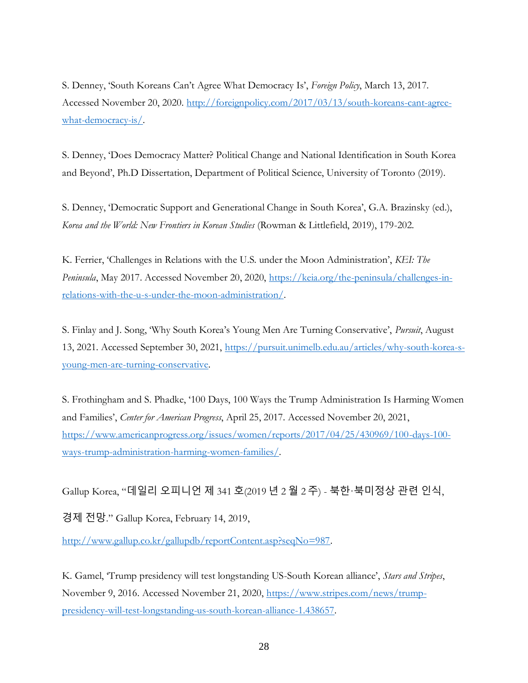S. Denney, 'South Koreans Can't Agree What Democracy Is', *Foreign Policy*, March 13, 2017. Accessed November 20, 2020. [http://foreignpolicy.com/2017/03/13/south-koreans-cant-agree](http://foreignpolicy.com/2017/03/13/south-koreans-cant-agree-what-democracy-is/)[what-democracy-is/.](http://foreignpolicy.com/2017/03/13/south-koreans-cant-agree-what-democracy-is/)

S. Denney, 'Does Democracy Matter? Political Change and National Identification in South Korea and Beyond', Ph.D Dissertation, Department of Political Science, University of Toronto (2019).

S. Denney, 'Democratic Support and Generational Change in South Korea', G.A. Brazinsky (ed.), *Korea and the World: New Frontiers in Korean Studies* (Rowman & Littlefield, 2019), 179-202.

K. Ferrier, 'Challenges in Relations with the U.S. under the Moon Administration', *KEI: The Peninsula*, May 2017. Accessed November 20, 2020, [https://keia.org/the-peninsula/challenges-in](https://keia.org/the-peninsula/challenges-in-relations-with-the-u-s-under-the-moon-administration/)[relations-with-the-u-s-under-the-moon-administration/.](https://keia.org/the-peninsula/challenges-in-relations-with-the-u-s-under-the-moon-administration/)

S. Finlay and J. Song, 'Why South Korea's Young Men Are Turning Conservative', *Pursuit*, August 13, 2021. Accessed September 30, 2021, [https://pursuit.unimelb.edu.au/articles/why-south-korea-s](https://pursuit.unimelb.edu.au/articles/why-south-korea-s-young-men-are-turning-conservative)[young-men-are-turning-conservative.](https://pursuit.unimelb.edu.au/articles/why-south-korea-s-young-men-are-turning-conservative)

S. Frothingham and S. Phadke, '100 Days, 100 Ways the Trump Administration Is Harming Women and Families', *Center for American Progress*, April 25, 2017. Accessed November 20, 2021, [https://www.americanprogress.org/issues/women/reports/2017/04/25/430969/100-days-100](https://www.americanprogress.org/issues/women/reports/2017/04/25/430969/100-days-100-ways-trump-administration-harming-women-families/) [ways-trump-administration-harming-women-families/.](https://www.americanprogress.org/issues/women/reports/2017/04/25/430969/100-days-100-ways-trump-administration-harming-women-families/)

Gallup Korea, "데일리 오피니언 제 341 호(2019 년 2 월 2 주) - 북한·북미정상 관련 인식,

경제 전망." Gallup Korea, February 14, 2019,

[http://www.gallup.co.kr/gallupdb/reportContent.asp?seqNo=987.](http://www.gallup.co.kr/gallupdb/reportContent.asp?seqNo=987)

K. Gamel, 'Trump presidency will test longstanding US-South Korean alliance', *Stars and Stripes*, November 9, 2016. Accessed November 21, 2020, [https://www.stripes.com/news/trump](https://www.stripes.com/news/trump-presidency-will-test-longstanding-us-south-korean-alliance-1.438657)[presidency-will-test-longstanding-us-south-korean-alliance-1.438657.](https://www.stripes.com/news/trump-presidency-will-test-longstanding-us-south-korean-alliance-1.438657)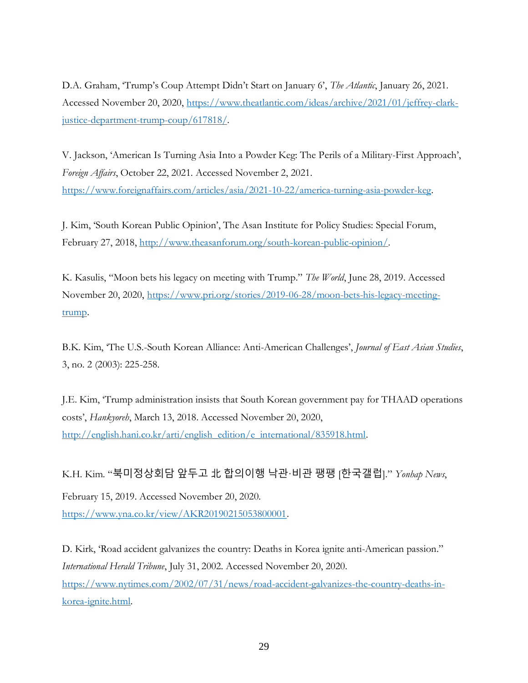D.A. Graham, 'Trump's Coup Attempt Didn't Start on January 6', *The Atlantic*, January 26, 2021. Accessed November 20, 2020, [https://www.theatlantic.com/ideas/archive/2021/01/jeffrey-clark](https://www.theatlantic.com/ideas/archive/2021/01/jeffrey-clark-justice-department-trump-coup/617818/)[justice-department-trump-coup/617818/.](https://www.theatlantic.com/ideas/archive/2021/01/jeffrey-clark-justice-department-trump-coup/617818/)

V. Jackson, 'American Is Turning Asia Into a Powder Keg: The Perils of a Military-First Approach', *Foreign Affairs*, October 22, 2021. Accessed November 2, 2021. [https://www.foreignaffairs.com/articles/asia/2021-10-22/america-turning-asia-powder-keg.](https://www.foreignaffairs.com/articles/asia/2021-10-22/america-turning-asia-powder-keg)

J. Kim, 'South Korean Public Opinion', The Asan Institute for Policy Studies: Special Forum, February 27, 2018, [http://www.theasanforum.org/south-korean-public-opinion/.](http://www.theasanforum.org/south-korean-public-opinion/)

K. Kasulis, "Moon bets his legacy on meeting with Trump." *The World*, June 28, 2019. Accessed November 20, 2020, [https://www.pri.org/stories/2019-06-28/moon-bets-his-legacy-meeting](https://www.pri.org/stories/2019-06-28/moon-bets-his-legacy-meeting-trump)[trump.](https://www.pri.org/stories/2019-06-28/moon-bets-his-legacy-meeting-trump)

B.K. Kim, 'The U.S.-South Korean Alliance: Anti-American Challenges', *Journal of East Asian Studies*, 3, no. 2 (2003): 225-258.

J.E. Kim, 'Trump administration insists that South Korean government pay for THAAD operations costs', *Hankyoreh*, March 13, 2018. Accessed November 20, 2020, [http://english.hani.co.kr/arti/english\\_edition/e\\_international/835918.html.](http://english.hani.co.kr/arti/english_edition/e_international/835918.html)

K.H. Kim. "북미정상회담 앞두고 北 합의이행 낙관·비관 팽팽 [한국갤럽]." *Yonhap News*,

February 15, 2019. Accessed November 20, 2020. [https://www.yna.co.kr/view/AKR20190215053800001.](https://www.yna.co.kr/view/AKR20190215053800001)

D. Kirk, 'Road accident galvanizes the country: Deaths in Korea ignite anti-American passion." *International Herald Tribune*, July 31, 2002. Accessed November 20, 2020. [https://www.nytimes.com/2002/07/31/news/road-accident-galvanizes-the-country-deaths-in](https://www.nytimes.com/2002/07/31/news/road-accident-galvanizes-the-country-deaths-in-korea-ignite.html)[korea-ignite.html.](https://www.nytimes.com/2002/07/31/news/road-accident-galvanizes-the-country-deaths-in-korea-ignite.html)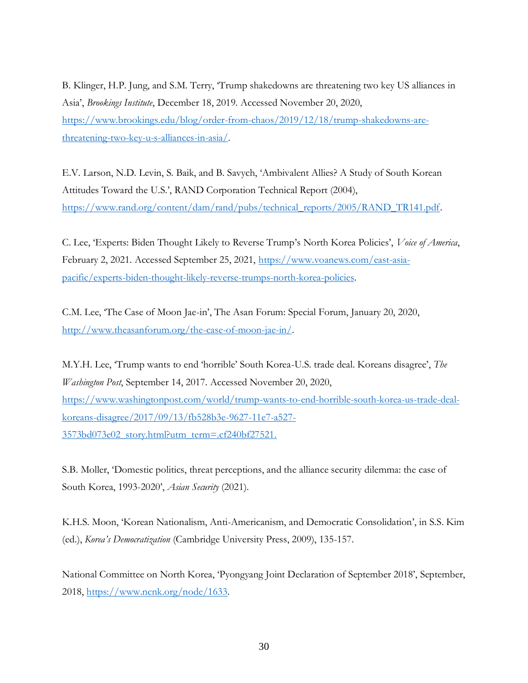B. Klinger, H.P. Jung, and S.M. Terry, 'Trump shakedowns are threatening two key US alliances in Asia', *Brookings Institute*, December 18, 2019. Accessed November 20, 2020, [https://www.brookings.edu/blog/order-from-chaos/2019/12/18/trump-shakedowns-are](https://www.brookings.edu/blog/order-from-chaos/2019/12/18/trump-shakedowns-are-threatening-two-key-u-s-alliances-in-asia/)[threatening-two-key-u-s-alliances-in-asia/.](https://www.brookings.edu/blog/order-from-chaos/2019/12/18/trump-shakedowns-are-threatening-two-key-u-s-alliances-in-asia/)

E.V. Larson, N.D. Levin, S. Baik, and B. Savych, 'Ambivalent Allies? A Study of South Korean Attitudes Toward the U.S.', RAND Corporation Technical Report (2004), [https://www.rand.org/content/dam/rand/pubs/technical\\_reports/2005/RAND\\_TR141.pdf.](https://www.rand.org/content/dam/rand/pubs/technical_reports/2005/RAND_TR141.pdf)

C. Lee, 'Experts: Biden Thought Likely to Reverse Trump's North Korea Policies', *Voice of America*, February 2, 2021. Accessed September 25, 2021, [https://www.voanews.com/east-asia](https://www.voanews.com/east-asia-pacific/experts-biden-thought-likely-reverse-trumps-north-korea-policies)[pacific/experts-biden-thought-likely-reverse-trumps-north-korea-policies.](https://www.voanews.com/east-asia-pacific/experts-biden-thought-likely-reverse-trumps-north-korea-policies)

C.M. Lee, 'The Case of Moon Jae-in', The Asan Forum: Special Forum, January 20, 2020, [http://www.theasanforum.org/the-case-of-moon-jae-in/.](http://www.theasanforum.org/the-case-of-moon-jae-in/)

M.Y.H. Lee, 'Trump wants to end 'horrible' South Korea-U.S. trade deal. Koreans disagree', *The Washington Post*, September 14, 2017. Accessed November 20, 2020, [https://www.washingtonpost.com/world/trump-wants-to-end-horrible-south-korea-us-trade-deal](https://www.washingtonpost.com/world/trump-wants-to-end-horrible-south-korea-us-trade-deal-koreans-disagree/2017/09/13/fb528b3e-9627-11e7-a527-3573bd073e02_story.html?utm_term=.cf240bf27521)[koreans-disagree/2017/09/13/fb528b3e-9627-11e7-a527-](https://www.washingtonpost.com/world/trump-wants-to-end-horrible-south-korea-us-trade-deal-koreans-disagree/2017/09/13/fb528b3e-9627-11e7-a527-3573bd073e02_story.html?utm_term=.cf240bf27521) [3573bd073e02\\_story.html?utm\\_term=.cf240bf27521.](https://www.washingtonpost.com/world/trump-wants-to-end-horrible-south-korea-us-trade-deal-koreans-disagree/2017/09/13/fb528b3e-9627-11e7-a527-3573bd073e02_story.html?utm_term=.cf240bf27521)

S.B. Moller, 'Domestic politics, threat perceptions, and the alliance security dilemma: the case of South Korea, 1993-2020', *Asian Security* (2021).

K.H.S. Moon, 'Korean Nationalism, Anti-Americanism, and Democratic Consolidation', in S.S. Kim (ed.), *Korea's Democratization* (Cambridge University Press, 2009), 135-157.

National Committee on North Korea, 'Pyongyang Joint Declaration of September 2018', September, 2018, [https://www.ncnk.org/node/1633.](https://www.ncnk.org/node/1633)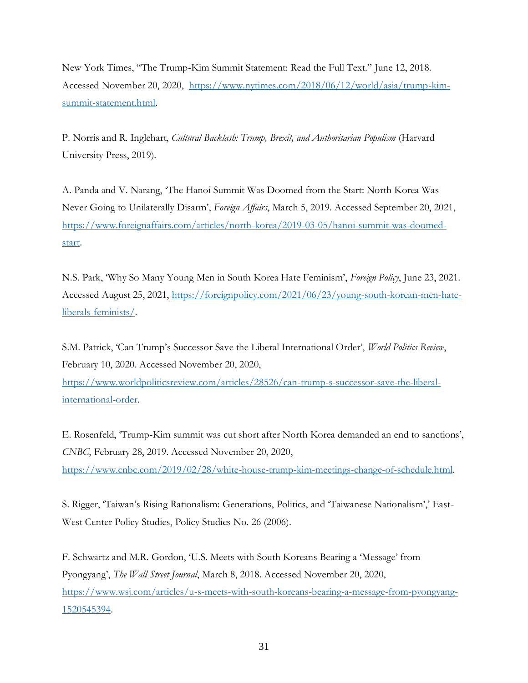New York Times, "The Trump-Kim Summit Statement: Read the Full Text." June 12, 2018. Accessed November 20, 2020, [https://www.nytimes.com/2018/06/12/world/asia/trump-kim](https://www.nytimes.com/2018/06/12/world/asia/trump-kim-summit-statement.html)[summit-statement.html.](https://www.nytimes.com/2018/06/12/world/asia/trump-kim-summit-statement.html)

P. Norris and R. Inglehart, *Cultural Backlash: Trump, Brexit, and Authoritarian Populism* (Harvard University Press, 2019).

A. Panda and V. Narang, 'The Hanoi Summit Was Doomed from the Start: North Korea Was Never Going to Unilaterally Disarm', *Foreign Affairs*, March 5, 2019. Accessed September 20, 2021, [https://www.foreignaffairs.com/articles/north-korea/2019-03-05/hanoi-summit-was-doomed](https://www.foreignaffairs.com/articles/north-korea/2019-03-05/hanoi-summit-was-doomed-start)[start.](https://www.foreignaffairs.com/articles/north-korea/2019-03-05/hanoi-summit-was-doomed-start)

N.S. Park, 'Why So Many Young Men in South Korea Hate Feminism', *Foreign Policy*, June 23, 2021. Accessed August 25, 2021, [https://foreignpolicy.com/2021/06/23/young-south-korean-men-hate](https://foreignpolicy.com/2021/06/23/young-south-korean-men-hate-liberals-feminists/)[liberals-feminists/.](https://foreignpolicy.com/2021/06/23/young-south-korean-men-hate-liberals-feminists/)

S.M. Patrick, 'Can Trump's Successor Save the Liberal International Order', *World Politics Review*, February 10, 2020. Accessed November 20, 2020,

[https://www.worldpoliticsreview.com/articles/28526/can-trump-s-successor-save-the-liberal](https://www.worldpoliticsreview.com/articles/28526/can-trump-s-successor-save-the-liberal-international-order)[international-order.](https://www.worldpoliticsreview.com/articles/28526/can-trump-s-successor-save-the-liberal-international-order)

E. Rosenfeld, 'Trump-Kim summit was cut short after North Korea demanded an end to sanctions', *CNBC*, February 28, 2019. Accessed November 20, 2020,

[https://www.cnbc.com/2019/02/28/white-house-trump-kim-meetings-change-of-schedule.html.](https://www.cnbc.com/2019/02/28/white-house-trump-kim-meetings-change-of-schedule.html)

S. Rigger, 'Taiwan's Rising Rationalism: Generations, Politics, and 'Taiwanese Nationalism',' East-West Center Policy Studies, Policy Studies No. 26 (2006).

F. Schwartz and M.R. Gordon, 'U.S. Meets with South Koreans Bearing a 'Message' from Pyongyang', *The Wall Street Journal*, March 8, 2018. Accessed November 20, 2020, [https://www.wsj.com/articles/u-s-meets-with-south-koreans-bearing-a-message-from-pyongyang-](https://www.wsj.com/articles/u-s-meets-with-south-koreans-bearing-a-message-from-pyongyang-1520545394)[1520545394.](https://www.wsj.com/articles/u-s-meets-with-south-koreans-bearing-a-message-from-pyongyang-1520545394)